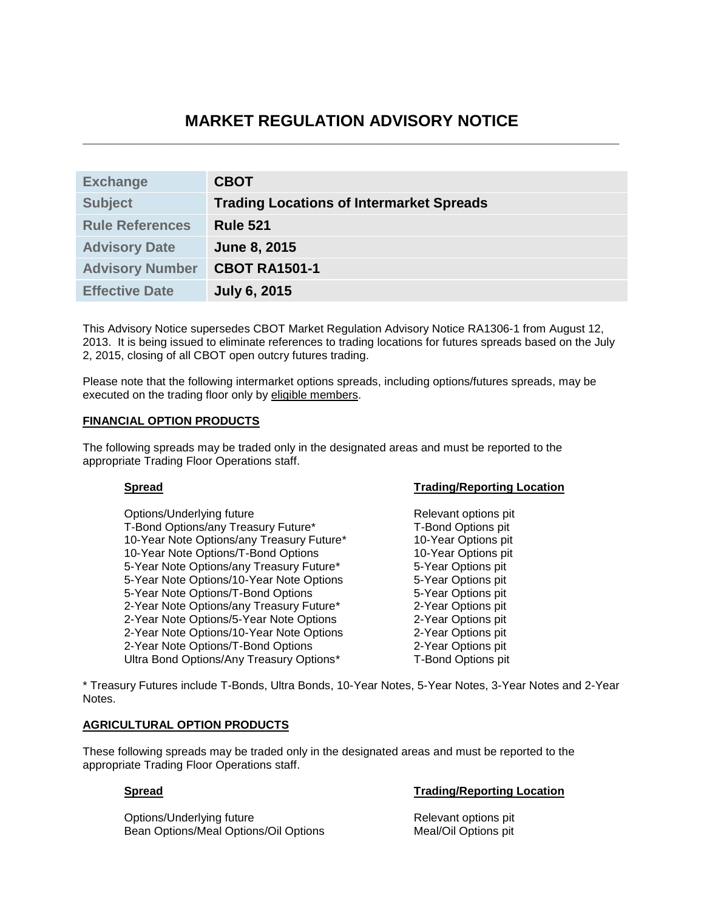# **MARKET REGULATION ADVISORY NOTICE \_\_\_\_\_\_\_\_\_\_\_\_\_\_\_\_\_\_\_\_\_\_\_\_\_\_\_\_\_\_\_\_\_\_\_\_\_\_\_\_\_\_\_\_\_\_\_\_\_\_\_\_\_\_\_\_\_\_\_\_\_\_\_\_\_\_\_\_\_\_**

| <b>Exchange</b>        | <b>CBOT</b>                                     |
|------------------------|-------------------------------------------------|
| <b>Subject</b>         | <b>Trading Locations of Intermarket Spreads</b> |
| <b>Rule References</b> | <b>Rule 521</b>                                 |
| <b>Advisory Date</b>   | <b>June 8, 2015</b>                             |
| <b>Advisory Number</b> | <b>CBOT RA1501-1</b>                            |
| <b>Effective Date</b>  | <b>July 6, 2015</b>                             |

This Advisory Notice supersedes CBOT Market Regulation Advisory Notice RA1306-1 from August 12, 2013. It is being issued to eliminate references to trading locations for futures spreads based on the July 2, 2015, closing of all CBOT open outcry futures trading.

Please note that the following intermarket options spreads, including options/futures spreads, may be executed on the trading floor only by eligible members.

## **FINANCIAL OPTION PRODUCTS**

The following spreads may be traded only in the designated areas and must be reported to the appropriate Trading Floor Operations staff.

Options/Underlying future and the control of the Relevant options pit<br>T-Bond Options/any Treasury Future\* T-Bond Options pit T-Bond Options/any Treasury Future\* 10-Year Note Options/any Treasury Future\* 10-Year Options pit 10-Year Note Options/T-Bond Options 10-Year Options pit 5-Year Note Options/any Treasury Future\* 5-Year Options pit 5-Year Note Options/10-Year Note Options 6-Year Options pit 5-Year Note Options/T-Bond Options<br>
2-Year Note Options/any Treasury Future\* 2-Year Options pit 2-Year Note Options/any Treasury Future\* 2-Year Note Options/5-Year Note Options 2-Year Options pit 2-Year Note Options/10-Year Note Options 2-Year Options pit 2-Year Note Options/T-Bond Options 2-Year Options pit Ultra Bond Options/Any Treasury Options\* T-Bond Options pit

### **Spread Spread Trading/Reporting Location**

\* Treasury Futures include T-Bonds, Ultra Bonds, 10-Year Notes, 5-Year Notes, 3-Year Notes and 2-Year **Notes** 

### **AGRICULTURAL OPTION PRODUCTS**

These following spreads may be traded only in the designated areas and must be reported to the appropriate Trading Floor Operations staff.

Options/Underlying future **Relevant options pit** Relevant options pit Bean Options/Meal Options/Oil Options Meal/Oil Options pit

### **Spread Trading/Reporting Location**